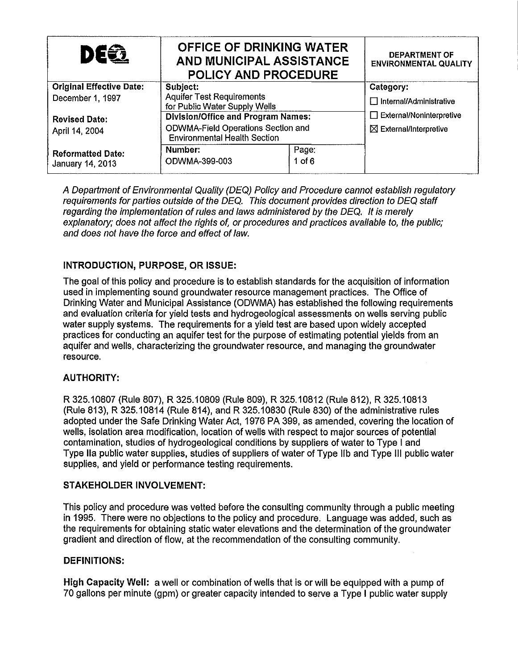| DE62                                         | <b>OFFICE OF DRINKING WATER</b><br>AND MUNICIPAL ASSISTANCE<br><b>POLICY AND PROCEDURE</b> |          | <b>DEPARTMENT OF</b><br><b>ENVIRONMENTAL QUALITY</b> |
|----------------------------------------------|--------------------------------------------------------------------------------------------|----------|------------------------------------------------------|
| <b>Original Effective Date:</b>              | Subject:                                                                                   |          | Category:                                            |
| December 1, 1997                             | <b>Aquifer Test Requirements</b><br>for Public Water Supply Wells                          |          | $\Box$ Internal/Administrative                       |
| <b>Revised Date:</b><br>April 14, 2004       | <b>Division/Office and Program Names:</b>                                                  |          | $\Box$ External/Noninterpretive                      |
|                                              | ODWMA-Field Operations Section and<br><b>Environmental Health Section</b>                  |          | $\boxtimes$ External/Interpretive                    |
| <b>Reformatted Date:</b><br>January 14, 2013 | Number:                                                                                    | Page:    |                                                      |
|                                              | ODWMA-399-003                                                                              | $1$ of 6 |                                                      |

A Department of Environmental Quality (DEQ) Policy and Procedure cannot establish regulatory requirements for parties outside of the DEQ. This document provides direction to DEQ staff regarding the implementation of rules and laws administered by the DEQ. It is merely explanatory; does not affect the rights of, or procedures and practices available to, the public; and does not have the force and effect of law.

## INTRODUCTION, PURPOSE, OR ISSUE:

The goal of this policy and procedure is to establish standards for the acquisition of information used in implementing sound groundwater resource management practices. The Office of Drinking Water and Municipal Assistance (ODWMA) has established the following requirements and evaluation criteria for yield tests and hydrogeological assessments on wells serving public water supply systems. The requirements for a yield test are based upon widely accepted practices for conducting an aquifer test for the purpose of estimating potential yields from an aquifer and wells, characterizing the groundwater resource, and managing the groundwater resource.

## AUTHORITY:

R 325.10807 (Rule 807), R 325.10809 (Rule 809), R 325.10812 (Rule 812), R 325.10813 (Rule 813), R 325.10814 (Rule 814), and R 325.10830 (Rule 830) of the administrative rules adopted under the Safe Drinking Water Act, 1976 PA 399, as amended, covering the location of wells, isolation area modification, location of wells with respect to major sources of potential contamination, studies of hydrogeological conditions by suppliers of water to Type I and Type IIa public water supplies, studies of suppliers of water of Type IIb and Type III public water supplies, and yield or performance testing requirements.

## STAKEHOLDER INVOLVEMENT:

This policy and procedure was vetted before the consulting community through a public meeting in 1995. There were no objections to the policy and procedure. Language was added, such as the requirements for obtaining static water elevations and the determination of the groundwater gradient and direction of flow, at the recommendation of the consulting community.

#### DEFINITIONS:

High Capacity Well: a well or combination of wells that is or will be equipped with a pump of 70 gallons per minute (gpm) or greater capacity intended to serve a Type I public water supply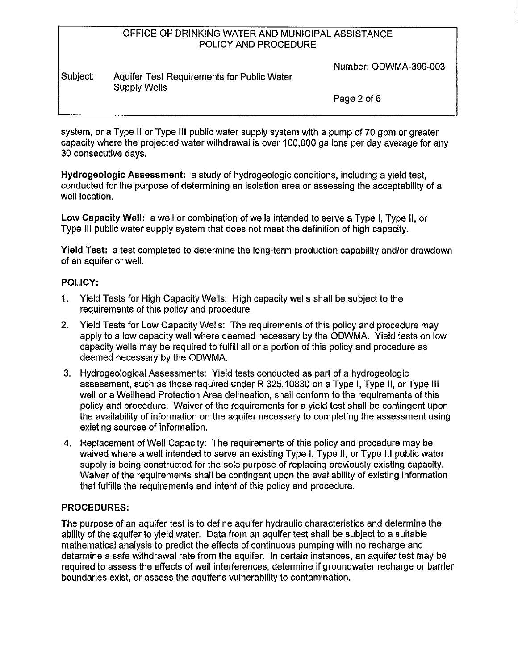Number: ODWMA-399-003

#### Subject: Aquifer Test Requirements for Public Water Supply Wells

Page 2 of 6

system, or a Type II or Type III public water supply system with a pump of 70 gpm or greater capacity where the projected water withdrawal is over 100,000 gallons per day average for any 30 consecutive days.

**Hydrogeologic Assessment:** a study of hydrogeologic conditions, including a yield test, conducted for the purpose of determining an isolation area or assessing the acceptability of a well location.

**Low Capacity Well:** a well or combination of wells intended to serve a Type I, Type II, or Type Ill public water supply system that does not meet the definition of high capacity.

**Yield Test:** a test completed to determine the long-term production capability and/or drawdown of an aquifer or well.

## **POLICY:**

- 1. Yield Tests for High Capacity Wells: High capacity wells shall be subject to the requirements of this policy and procedure.
- 2. Yield Tests for Low Capacity Wells: The requirements of this policy and procedure may apply to a low capacity well where deemed necessary by the ODWMA. Yield tests on low capacity wells may be required to fulfill all or a portion of this policy and procedure as deemed necessary by the ODWMA.
- 3. Hydrogeological Assessments: Yield tests conducted as part of a hydrogeologic assessment, such as those required under R 325.10830 on a Type I, Type II, or Type Ill well or a Wellhead Protection Area delineation, shall conform to the requirements of this policy and procedure. Waiver of the requirements for a yield test shall be contingent upon the availability of information on the aquifer necessary to completing the assessment using existing sources of information.
- 4. Replacement of Well Capacity: The requirements of this policy and procedure may be waived where a well intended to serve an existing Type I, Type II, or Type Ill public water supply is being constructed for the sole purpose of replacing previously existing capacity. Waiver of the requirements shall be contingent upon the availability of existing information that fulfills the requirements and intent of this policy and procedure.

# **PROCEDURES:**

The purpose of an aquifer test is to define aquifer hydraulic characteristics and determine the ability of the aquifer to yield water. Data from an aquifer test shall be subject to a suitable mathematical analysis to predict the effects of continuous pumping with no recharge and determine a safe withdrawal rate from the aquifer. In certain instances, an aquifer test may be required to assess the effects of well interferences, determine if groundwater recharge or barrier boundaries exist, or assess the aquifer's vulnerability to contamination.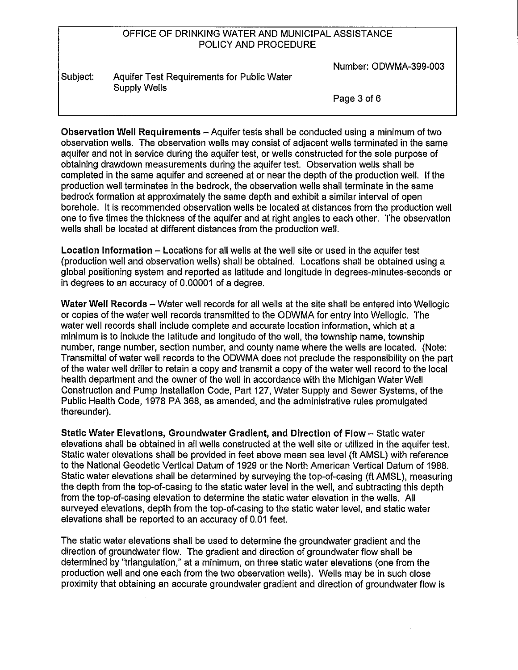Number: ODWMA-399-003

| Subject: | Aquifer Test Requirements for Public Water |
|----------|--------------------------------------------|
|          | Supply Wells                               |

Page 3 of 6

**Observation Well Requirements-** Aquifer tests shall be conducted using a minimum of two observation wells. The observation wells may consist of adjacent wells terminated in the same aquifer and not in service during the aquifer test, or wells constructed for the sole purpose of obtaining drawdown measurements during the aquifer test. Observation wells shall be completed in the same aquifer and screened at or near the depth of the production well. If the production well terminates in the bedrock, the observation wells shall terminate in the same bedrock formation at approximately the same depth and exhibit a similar interval of open borehole. It is recommended observation wells be located at distances from the production well one to five times the thickness of the aquifer and at right angles to each other. The observation wells shall be located at different distances from the production well.

**Location Information** - Locations for all wells at the well site or used in the aquifer test {production well and observation wells) shall be obtained. Locations shall be obtained using a global positioning system and reported as latitude and longitude in degrees-minutes-seconds or in degrees to an accuracy of 0.00001 of a degree.

**Water Well Records-** Water well records for all wells at the site shall be entered into Wellogic or copies of the water well records transmitted to the ODWMA for entry into Wellogic. The water well records shall include complete and accurate location information, which at a minimum is to include the latitude and longitude of the well, the township name, township number, range number, section number, and county name where the wells are located. (Note: Transmittal of water well records to the ODWMA does not preclude the responsibility on the part of the water well driller to retain a copy and transmit a copy of the water well record to the local health department and the owner of the well in accordance with the Michigan Water Well Construction and Pump Installation Code, Part 127, Water Supply and Sewer Systems, of the Public Health Code, 1978 PA 368, as amended, and the administrative rules promulgated thereunder).

**Static Water Elevations, Groundwater Gradient, and Direction of Flow-** Static water elevations shall be obtained in all wells constructed at the well site or utilized in the aquifer test. Static water elevations shall be provided in feet above mean sea level (ft AMSL) with reference to the National Geodetic Vertical Datum of 1929 or the North American Vertical Datum of 1988. Static water elevations shall be determined by surveying the top-of-casing (ft AMSL), measuring the depth from the top-of-casing to the static water level in the well, and subtracting this depth from the top-of-casing elevation to determine the static water elevation in the wells. All surveyed elevations, depth from the top-of-casing to the static water level, and static water elevations shall be reported to an accuracy of 0.01 feet.

The static water elevations shall be used to determine the groundwater gradient and the direction of groundwater flow. The gradient and direction of groundwater flow shall be determined by "triangulation," at a minimum, on three static water elevations (one from the production well and one each from the two observation wells). Wells may be in such close proximity that obtaining an accurate groundwater gradient and direction of groundwater flow is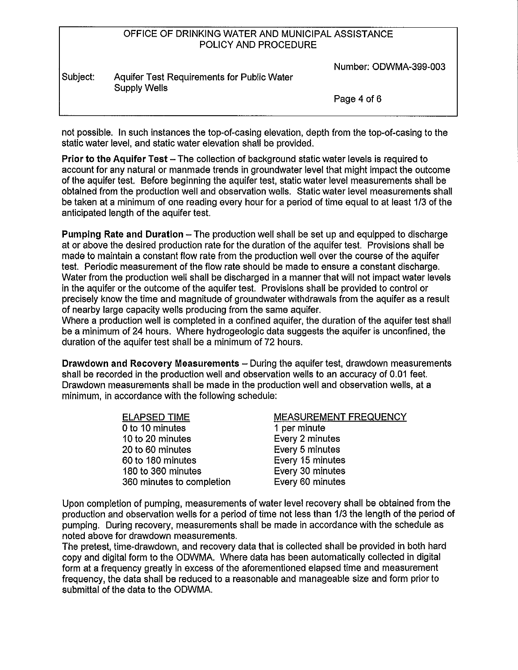Number: ODWMA-399-003

#### Subject: Aquifer Test Requirements for Public Water Supply Wells

Page 4 of 6

not possible. In such instances the top-of-casing elevation, depth from the top-of-casing to the static water level, and static water elevation shall be provided.

**Prior to the Aquifer Test-** The collection of background static water levels is required to account for any natural or manmade trends in groundwater level that might impact the outcome of the aquifer test. Before beginning the aquifer test, static water level measurements shall be obtained from the production well and observation wells. Static water level measurements shall be taken at a minimum of one reading every hour for a period of time equal to at least 1/3 of the anticipated length of the aquifer test.

**Pumping Rate and Duration – The production well shall be set up and equipped to discharge** at or above the desired production rate for the duration of the aquifer test. Provisions shall be made to maintain a constant flow rate from the production well over the course of the aquifer test. Periodic measurement of the flow rate should be made to ensure a constant discharge. Water from the production well shall be discharged in a manner that will not impact water levels in the aquifer or the outcome of the aquifer test. Provisions shall be provided to control or precisely know the time and magnitude of groundwater withdrawals from the aquifer as a result of nearby large capacity wells producing from the same aquifer.

Where a production well is completed in a confined aquifer, the duration of the aquifer test shall be a minimum of 24 hours. Where hydrogeologic data suggests the aquifer is unconfined, the duration of the aquifer test shall be a minimum of 72 hours.

**Drawdown and Recovery Measurements** - During the aquifer test, drawdown measurements shall be recorded in the production well and observation wells to an accuracy of 0.01 feet. Drawdown measurements shall be made in the production well and observation wells, at a minimum, in accordance with the following schedule:

| <b>ELAPSED TIME</b>       | <b>MEASUREMENT FREQUENCY</b> |
|---------------------------|------------------------------|
| 0 to 10 minutes           | 1 per minute                 |
| 10 to 20 minutes          | Every 2 minutes              |
| 20 to 60 minutes          | Every 5 minutes              |
| 60 to 180 minutes         | Every 15 minutes             |
| 180 to 360 minutes        | Every 30 minutes             |
| 360 minutes to completion | Every 60 minutes             |

Upon completion of pumping, measurements of water level recovery shall be obtained from the production and observation wells for a period of time not less than 1/3 the length of the period of pumping. During recovery, measurements shall be made in accordance with the schedule as noted above for drawdown measurements.

The pretest, time-drawdown, and recovery data that is collected shall be provided in both hard copy and digital form to the ODWMA. Where data has been automatically collected in digital form at a frequency greatly in excess of the aforementioned elapsed time and measurement frequency, the data shall be reduced to a reasonable and manageable size and form prior to submittal of the data to the ODWMA.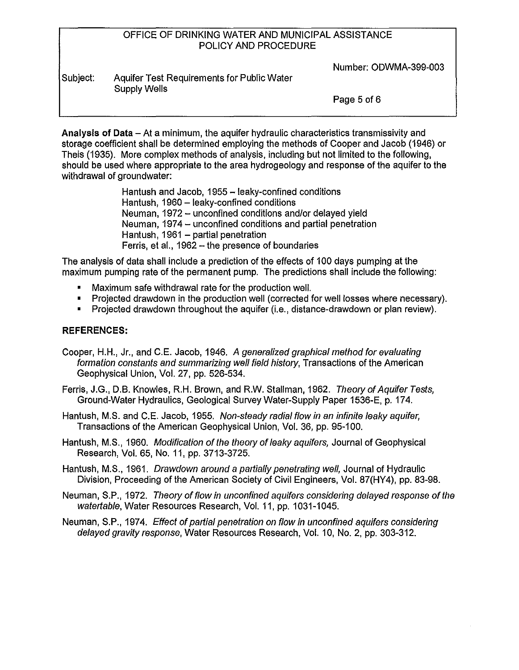Number: ODWMA-399-003

| Subject: | Aquifer Test Requirements for Public Water |
|----------|--------------------------------------------|
|          | Supply Wells                               |

Page 5 of 6

**Analysis of Data-** AI a minimum, the aquifer hydraulic characteristics transmissivity and storage coefficient shall be determined employing the methods of Cooper and Jacob (1946) or Theis (1935). More complex methods of analysis, including but not limited to the following, should be used where appropriate to the area hydrogeology and response of the aquifer to the withdrawal of groundwater:

> Hantush and Jacob, 1955 - leaky-confined conditions Hantush, 1960 - leaky-confined conditions Neuman, 1972 - unconfined conditions and/or delayed yield Neuman, 1974 – unconfined conditions and partial penetration Hantush,  $1961$  - partial penetration Ferris, et al., 1962 - the presence of boundaries

The analysis of data shall include a prediction of the effects of 1 00 days pumping at the maximum pumping rate of the permanent pump. The predictions shall include the following:

- Maximum safe withdrawal rate for the production well.
- Projected drawdown in the production well (corrected for well losses where necessary).
- Projected drawdown throughout the aquifer (i.e., distance-drawdown or plan review).

## **REFERENCES:**

- Cooper, H.H., Jr., and C.E. Jacob, 1946. A generalized graphical method for evaluating formation constants and summarizing well field history, Transactions of the American Geophysical Union, Vol. 27, pp. 526-534.
- Ferris, J.G., D.B. Knowles, R.H. Brown, and R.W. Stallman, 1962. Theory of Aquifer Tests, Ground-Water Hydraulics, Geological Survey Water-Supply Paper 1536-E, p. 17 4.
- Hantush, M.S. and C.E. Jacob, 1955. Non-steady radial flow in an infinite leaky aquifer, Transactions of the American Geophysical Union, Vol. 36, pp. 95-100.
- Hantush, M.S., 1960. Modification of the theory of leaky aquifers, Journal of Geophysical Research, Vol. 65, No. 11, pp. 3713-3725.

Hantush, M.S., 1961. Drawdown around a parlially penetrating well, Journal of Hydraulic Division, Proceeding of the American Society of Civil Engineers, Vol. 87(HY4), pp. 83-98.

Neuman, S.P., 1972. Theory of flow in unconfined aquifers considering delayed response of the watertable, Water Resources Research, Vol. 11, pp. 1031-1045.

Neuman, S.P., 1974. Effect of partial penetration on flow in unconfined aquifers considering delayed gravity response, Water Resources Research, Vol. 10, No. 2, pp. 303-312.